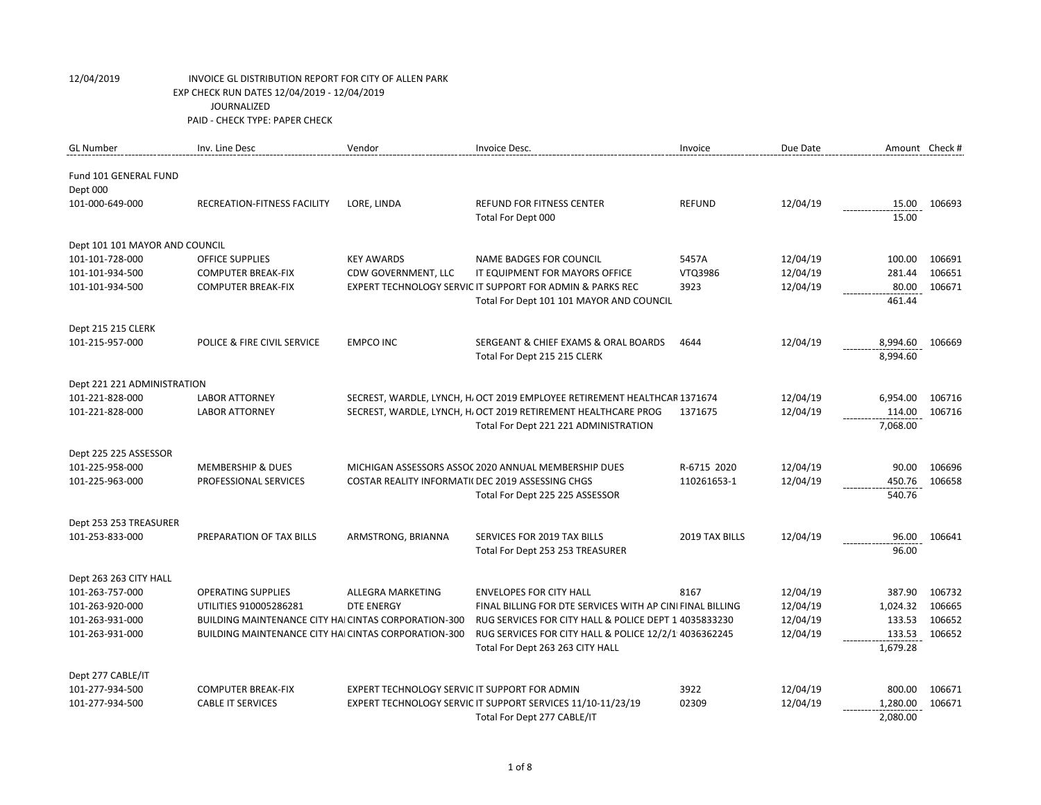| <b>GL Number</b>               | Inv. Line Desc                                              | Vendor                                            | Invoice Desc.                                                             | Invoice        | Due Date | Amount Check # |        |
|--------------------------------|-------------------------------------------------------------|---------------------------------------------------|---------------------------------------------------------------------------|----------------|----------|----------------|--------|
| Fund 101 GENERAL FUND          |                                                             |                                                   |                                                                           |                |          |                |        |
| Dept 000                       |                                                             |                                                   |                                                                           |                |          |                |        |
| 101-000-649-000                | <b>RECREATION-FITNESS FACILITY</b>                          | LORE, LINDA                                       | <b>REFUND FOR FITNESS CENTER</b>                                          | <b>REFUND</b>  | 12/04/19 | 15.00          | 106693 |
|                                |                                                             |                                                   | Total For Dept 000                                                        |                |          | 15.00          |        |
| Dept 101 101 MAYOR AND COUNCIL |                                                             |                                                   |                                                                           |                |          |                |        |
| 101-101-728-000                | <b>OFFICE SUPPLIES</b>                                      | <b>KEY AWARDS</b>                                 | <b>NAME BADGES FOR COUNCIL</b>                                            | 5457A          | 12/04/19 | 100.00         | 106691 |
| 101-101-934-500                | <b>COMPUTER BREAK-FIX</b>                                   | CDW GOVERNMENT, LLC                               | IT EQUIPMENT FOR MAYORS OFFICE                                            | VTQ3986        | 12/04/19 | 281.44         | 106651 |
| 101-101-934-500                | <b>COMPUTER BREAK-FIX</b>                                   |                                                   | EXPERT TECHNOLOGY SERVIC IT SUPPORT FOR ADMIN & PARKS REC                 | 3923           | 12/04/19 | 80.00          | 106671 |
|                                |                                                             |                                                   | Total For Dept 101 101 MAYOR AND COUNCIL                                  |                |          | 461.44         |        |
| Dept 215 215 CLERK             |                                                             |                                                   |                                                                           |                |          |                |        |
| 101-215-957-000                | POLICE & FIRE CIVIL SERVICE                                 | <b>EMPCO INC</b>                                  | SERGEANT & CHIEF EXAMS & ORAL BOARDS                                      | 4644           | 12/04/19 | 8,994.60       | 106669 |
|                                |                                                             |                                                   | Total For Dept 215 215 CLERK                                              |                |          | 8,994.60       |        |
|                                |                                                             |                                                   |                                                                           |                |          |                |        |
| Dept 221 221 ADMINISTRATION    |                                                             |                                                   |                                                                           |                |          |                |        |
| 101-221-828-000                | <b>LABOR ATTORNEY</b>                                       |                                                   | SECREST, WARDLE, LYNCH, H, OCT 2019 EMPLOYEE RETIREMENT HEALTHCAR 1371674 |                | 12/04/19 | 6,954.00       | 106716 |
| 101-221-828-000                | <b>LABOR ATTORNEY</b>                                       |                                                   | SECREST, WARDLE, LYNCH, H, OCT 2019 RETIREMENT HEALTHCARE PROG            | 1371675        | 12/04/19 | 114.00         | 106716 |
|                                |                                                             |                                                   | Total For Dept 221 221 ADMINISTRATION                                     |                |          | 7,068.00       |        |
| Dept 225 225 ASSESSOR          |                                                             |                                                   |                                                                           |                |          |                |        |
| 101-225-958-000                | <b>MEMBERSHIP &amp; DUES</b>                                |                                                   | MICHIGAN ASSESSORS ASSOC 2020 ANNUAL MEMBERSHIP DUES                      | R-6715 2020    | 12/04/19 | 90.00          | 106696 |
| 101-225-963-000                | <b>PROFESSIONAL SERVICES</b>                                | COSTAR REALITY INFORMATI( DEC 2019 ASSESSING CHGS |                                                                           | 110261653-1    | 12/04/19 | 450.76         | 106658 |
|                                |                                                             |                                                   | Total For Dept 225 225 ASSESSOR                                           |                |          | 540.76         |        |
|                                |                                                             |                                                   |                                                                           |                |          |                |        |
| Dept 253 253 TREASURER         |                                                             |                                                   |                                                                           |                |          |                |        |
| 101-253-833-000                | PREPARATION OF TAX BILLS                                    | ARMSTRONG, BRIANNA                                | SERVICES FOR 2019 TAX BILLS                                               | 2019 TAX BILLS | 12/04/19 | 96.00          | 106641 |
|                                |                                                             |                                                   | Total For Dept 253 253 TREASURER                                          |                |          | 96.00          |        |
| Dept 263 263 CITY HALL         |                                                             |                                                   |                                                                           |                |          |                |        |
| 101-263-757-000                | <b>OPERATING SUPPLIES</b>                                   | ALLEGRA MARKETING                                 | <b>ENVELOPES FOR CITY HALL</b>                                            | 8167           | 12/04/19 | 387.90         | 106732 |
| 101-263-920-000                | UTILITIES 910005286281                                      | <b>DTE ENERGY</b>                                 | FINAL BILLING FOR DTE SERVICES WITH AP CINI FINAL BILLING                 |                | 12/04/19 | 1,024.32       | 106665 |
| 101-263-931-000                | <b>BUILDING MAINTENANCE CITY HAI CINTAS CORPORATION-300</b> |                                                   | RUG SERVICES FOR CITY HALL & POLICE DEPT 1 4035833230                     |                | 12/04/19 | 133.53         | 106652 |
| 101-263-931-000                | <b>BUILDING MAINTENANCE CITY HAI CINTAS CORPORATION-300</b> |                                                   | RUG SERVICES FOR CITY HALL & POLICE 12/2/1 4036362245                     |                | 12/04/19 | 133.53         | 106652 |
|                                |                                                             |                                                   | Total For Dept 263 263 CITY HALL                                          |                |          | 1,679.28       |        |
| Dept 277 CABLE/IT              |                                                             |                                                   |                                                                           |                |          |                |        |
| 101-277-934-500                | <b>COMPUTER BREAK-FIX</b>                                   | EXPERT TECHNOLOGY SERVIC IT SUPPORT FOR ADMIN     |                                                                           | 3922           | 12/04/19 | 800.00         | 106671 |
| 101-277-934-500                | <b>CABLE IT SERVICES</b>                                    |                                                   | EXPERT TECHNOLOGY SERVIC IT SUPPORT SERVICES 11/10-11/23/19               | 02309          | 12/04/19 | 1,280.00       | 106671 |
|                                |                                                             |                                                   | Total For Dept 277 CABLE/IT                                               |                |          | 2,080.00       |        |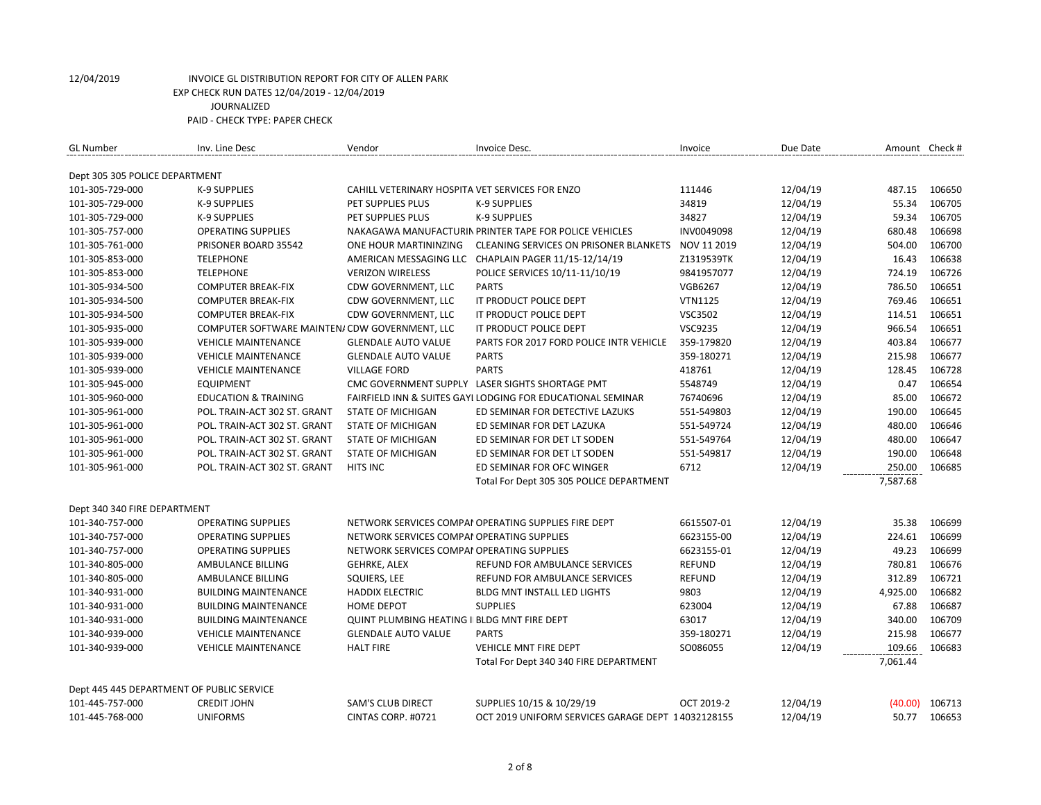| <b>GL Number</b>                          | Inv. Line Desc                                 | Vendor                                          | Invoice Desc.                                               | Invoice        | Due Date | Amount Check # |        |
|-------------------------------------------|------------------------------------------------|-------------------------------------------------|-------------------------------------------------------------|----------------|----------|----------------|--------|
| Dept 305 305 POLICE DEPARTMENT            |                                                |                                                 |                                                             |                |          |                |        |
| 101-305-729-000                           | <b>K-9 SUPPLIES</b>                            | CAHILL VETERINARY HOSPITA VET SERVICES FOR ENZO |                                                             | 111446         | 12/04/19 | 487.15         | 106650 |
| 101-305-729-000                           | K-9 SUPPLIES                                   | PET SUPPLIES PLUS                               | K-9 SUPPLIES                                                | 34819          | 12/04/19 | 55.34          | 106705 |
| 101-305-729-000                           | K-9 SUPPLIES                                   | PET SUPPLIES PLUS                               | <b>K-9 SUPPLIES</b>                                         | 34827          | 12/04/19 | 59.34          | 106705 |
| 101-305-757-000                           | <b>OPERATING SUPPLIES</b>                      |                                                 | NAKAGAWA MANUFACTURIN PRINTER TAPE FOR POLICE VEHICLES      | INV0049098     | 12/04/19 | 680.48         | 106698 |
| 101-305-761-000                           | PRISONER BOARD 35542                           | ONE HOUR MARTININZING                           | <b>CLEANING SERVICES ON PRISONER BLANKETS</b>               | NOV 11 2019    | 12/04/19 | 504.00         | 106700 |
| 101-305-853-000                           | <b>TELEPHONE</b>                               |                                                 | AMERICAN MESSAGING LLC CHAPLAIN PAGER 11/15-12/14/19        | Z1319539TK     | 12/04/19 | 16.43          | 106638 |
| 101-305-853-000                           | <b>TELEPHONE</b>                               | <b>VERIZON WIRELESS</b>                         | POLICE SERVICES 10/11-11/10/19                              | 9841957077     | 12/04/19 | 724.19         | 106726 |
| 101-305-934-500                           | <b>COMPUTER BREAK-FIX</b>                      | CDW GOVERNMENT, LLC                             | <b>PARTS</b>                                                | <b>VGB6267</b> | 12/04/19 | 786.50         | 106651 |
| 101-305-934-500                           | <b>COMPUTER BREAK-FIX</b>                      | CDW GOVERNMENT, LLC                             | IT PRODUCT POLICE DEPT                                      | <b>VTN1125</b> | 12/04/19 | 769.46         | 106651 |
| 101-305-934-500                           | <b>COMPUTER BREAK-FIX</b>                      | CDW GOVERNMENT, LLC                             | IT PRODUCT POLICE DEPT                                      | VSC3502        | 12/04/19 | 114.51         | 106651 |
| 101-305-935-000                           | COMPUTER SOFTWARE MAINTEN/ CDW GOVERNMENT, LLC |                                                 | IT PRODUCT POLICE DEPT                                      | VSC9235        | 12/04/19 | 966.54         | 106651 |
| 101-305-939-000                           | <b>VEHICLE MAINTENANCE</b>                     | <b>GLENDALE AUTO VALUE</b>                      | PARTS FOR 2017 FORD POLICE INTR VEHICLE                     | 359-179820     | 12/04/19 | 403.84         | 106677 |
| 101-305-939-000                           | <b>VEHICLE MAINTENANCE</b>                     | <b>GLENDALE AUTO VALUE</b>                      | <b>PARTS</b>                                                | 359-180271     | 12/04/19 | 215.98         | 106677 |
| 101-305-939-000                           | <b>VEHICLE MAINTENANCE</b>                     | <b>VILLAGE FORD</b>                             | <b>PARTS</b>                                                | 418761         | 12/04/19 | 128.45         | 106728 |
| 101-305-945-000                           | <b>EQUIPMENT</b>                               |                                                 | CMC GOVERNMENT SUPPLY LASER SIGHTS SHORTAGE PMT             | 5548749        | 12/04/19 | 0.47           | 106654 |
| 101-305-960-000                           | <b>EDUCATION &amp; TRAINING</b>                |                                                 | FAIRFIELD INN & SUITES GAYI LODGING FOR EDUCATIONAL SEMINAR | 76740696       | 12/04/19 | 85.00          | 106672 |
| 101-305-961-000                           | POL. TRAIN-ACT 302 ST. GRANT                   | <b>STATE OF MICHIGAN</b>                        | ED SEMINAR FOR DETECTIVE LAZUKS                             | 551-549803     | 12/04/19 | 190.00         | 106645 |
| 101-305-961-000                           | POL. TRAIN-ACT 302 ST. GRANT                   | <b>STATE OF MICHIGAN</b>                        | ED SEMINAR FOR DET LAZUKA                                   | 551-549724     | 12/04/19 | 480.00         | 106646 |
| 101-305-961-000                           | POL. TRAIN-ACT 302 ST. GRANT                   | <b>STATE OF MICHIGAN</b>                        | ED SEMINAR FOR DET LT SODEN                                 | 551-549764     | 12/04/19 | 480.00         | 106647 |
| 101-305-961-000                           | POL. TRAIN-ACT 302 ST. GRANT                   | <b>STATE OF MICHIGAN</b>                        | ED SEMINAR FOR DET LT SODEN                                 | 551-549817     | 12/04/19 | 190.00         | 106648 |
| 101-305-961-000                           | POL. TRAIN-ACT 302 ST. GRANT                   | <b>HITS INC</b>                                 | ED SEMINAR FOR OFC WINGER                                   | 6712           | 12/04/19 | 250.00         | 106685 |
|                                           |                                                |                                                 | Total For Dept 305 305 POLICE DEPARTMENT                    |                |          | 7,587.68       |        |
|                                           |                                                |                                                 |                                                             |                |          |                |        |
| Dept 340 340 FIRE DEPARTMENT              |                                                |                                                 |                                                             |                |          |                |        |
| 101-340-757-000                           | <b>OPERATING SUPPLIES</b>                      |                                                 | NETWORK SERVICES COMPAI OPERATING SUPPLIES FIRE DEPT        | 6615507-01     | 12/04/19 | 35.38          | 106699 |
| 101-340-757-000                           | <b>OPERATING SUPPLIES</b>                      | NETWORK SERVICES COMPAI OPERATING SUPPLIES      |                                                             | 6623155-00     | 12/04/19 | 224.61         | 106699 |
| 101-340-757-000                           | <b>OPERATING SUPPLIES</b>                      | NETWORK SERVICES COMPAI OPERATING SUPPLIES      |                                                             | 6623155-01     | 12/04/19 | 49.23          | 106699 |
| 101-340-805-000                           | AMBULANCE BILLING                              | <b>GEHRKE, ALEX</b>                             | REFUND FOR AMBULANCE SERVICES                               | <b>REFUND</b>  | 12/04/19 | 780.81         | 106676 |
| 101-340-805-000                           | AMBULANCE BILLING                              | SQUIERS, LEE                                    | REFUND FOR AMBULANCE SERVICES                               | <b>REFUND</b>  | 12/04/19 | 312.89         | 106721 |
| 101-340-931-000                           | <b>BUILDING MAINTENANCE</b>                    | <b>HADDIX ELECTRIC</b>                          | <b>BLDG MNT INSTALL LED LIGHTS</b>                          | 9803           | 12/04/19 | 4,925.00       | 106682 |
| 101-340-931-000                           | <b>BUILDING MAINTENANCE</b>                    | <b>HOME DEPOT</b>                               | <b>SUPPLIES</b>                                             | 623004         | 12/04/19 | 67.88          | 106687 |
| 101-340-931-000                           | <b>BUILDING MAINTENANCE</b>                    | QUINT PLUMBING HEATING II BLDG MNT FIRE DEPT    |                                                             | 63017          | 12/04/19 | 340.00         | 106709 |
| 101-340-939-000                           | <b>VEHICLE MAINTENANCE</b>                     | <b>GLENDALE AUTO VALUE</b>                      | <b>PARTS</b>                                                | 359-180271     | 12/04/19 | 215.98         | 106677 |
| 101-340-939-000                           | <b>VEHICLE MAINTENANCE</b>                     | <b>HALT FIRE</b>                                | <b>VEHICLE MNT FIRE DEPT</b>                                | SO086055       | 12/04/19 | 109.66         | 106683 |
|                                           |                                                |                                                 | Total For Dept 340 340 FIRE DEPARTMENT                      |                |          | 7,061.44       |        |
| Dept 445 445 DEPARTMENT OF PUBLIC SERVICE |                                                |                                                 |                                                             |                |          |                |        |
| 101-445-757-000                           | <b>CREDIT JOHN</b>                             | <b>SAM'S CLUB DIRECT</b>                        | SUPPLIES 10/15 & 10/29/19                                   | OCT 2019-2     | 12/04/19 | (40.00)        | 106713 |
| 101-445-768-000                           | <b>UNIFORMS</b>                                | CINTAS CORP. #0721                              | OCT 2019 UNIFORM SERVICES GARAGE DEPT 14032128155           |                | 12/04/19 | 50.77          | 106653 |
|                                           |                                                |                                                 |                                                             |                |          |                |        |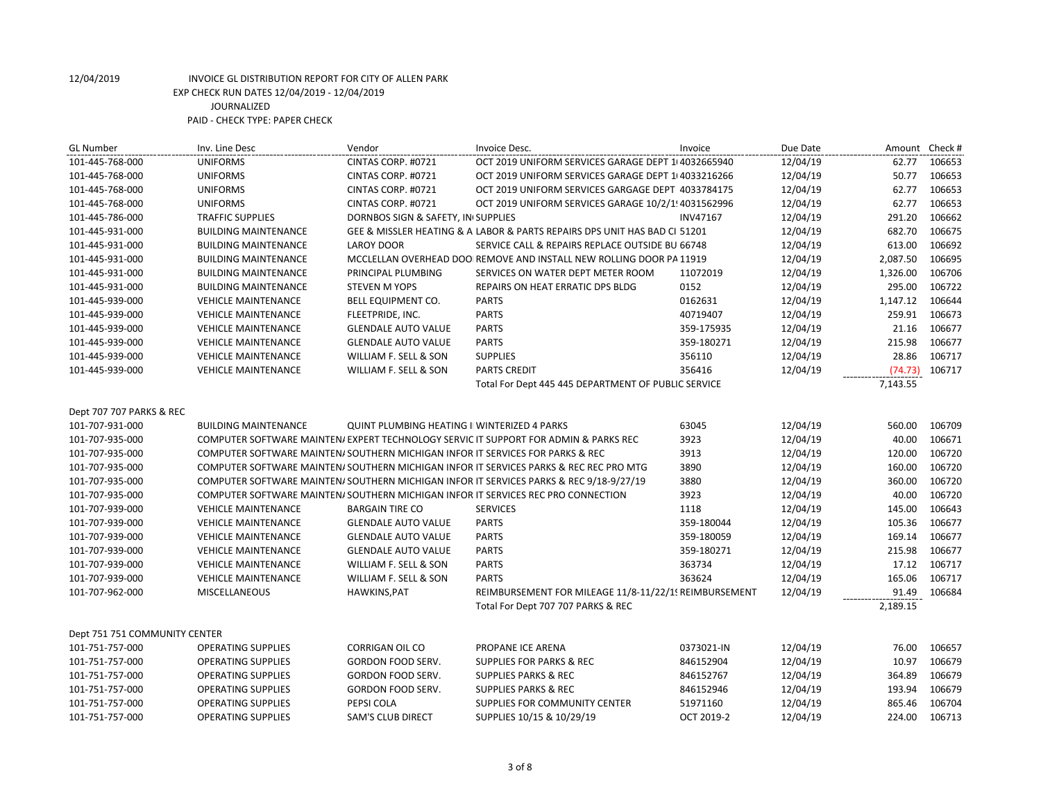| <b>GL Number</b>              | Inv. Line Desc                                                                 | Vendor                                             | Invoice Desc.                                                                          | Invoice         | Due Date | Amount Check # |        |
|-------------------------------|--------------------------------------------------------------------------------|----------------------------------------------------|----------------------------------------------------------------------------------------|-----------------|----------|----------------|--------|
| 101-445-768-000               | <b>UNIFORMS</b>                                                                | CINTAS CORP. #0721                                 | OCT 2019 UNIFORM SERVICES GARAGE DEPT 1 4032665940                                     |                 | 12/04/19 | 62.77          | 106653 |
| 101-445-768-000               | <b>UNIFORMS</b>                                                                | CINTAS CORP. #0721                                 | OCT 2019 UNIFORM SERVICES GARAGE DEPT 1 4033216266                                     |                 | 12/04/19 | 50.77          | 106653 |
| 101-445-768-000               | <b>UNIFORMS</b>                                                                | CINTAS CORP. #0721                                 | OCT 2019 UNIFORM SERVICES GARGAGE DEPT 4033784175                                      |                 | 12/04/19 | 62.77          | 106653 |
| 101-445-768-000               | <b>UNIFORMS</b>                                                                | CINTAS CORP. #0721                                 | OCT 2019 UNIFORM SERVICES GARAGE 10/2/1! 4031562996                                    |                 | 12/04/19 | 62.77          | 106653 |
| 101-445-786-000               | <b>TRAFFIC SUPPLIES</b>                                                        | DORNBOS SIGN & SAFETY, IN SUPPLIES                 |                                                                                        | <b>INV47167</b> | 12/04/19 | 291.20         | 106662 |
| 101-445-931-000               | <b>BUILDING MAINTENANCE</b>                                                    |                                                    | GEE & MISSLER HEATING & A LABOR & PARTS REPAIRS DPS UNIT HAS BAD CI 51201              |                 | 12/04/19 | 682.70         | 106675 |
| 101-445-931-000               | <b>BUILDING MAINTENANCE</b>                                                    | <b>LAROY DOOR</b>                                  | SERVICE CALL & REPAIRS REPLACE OUTSIDE BU 66748                                        |                 | 12/04/19 | 613.00         | 106692 |
| 101-445-931-000               | <b>BUILDING MAINTENANCE</b>                                                    |                                                    | MCCLELLAN OVERHEAD DOO REMOVE AND INSTALL NEW ROLLING DOOR PA 11919                    |                 | 12/04/19 | 2,087.50       | 106695 |
| 101-445-931-000               | <b>BUILDING MAINTENANCE</b>                                                    | PRINCIPAL PLUMBING                                 | SERVICES ON WATER DEPT METER ROOM                                                      | 11072019        | 12/04/19 | 1,326.00       | 106706 |
| 101-445-931-000               | <b>BUILDING MAINTENANCE</b>                                                    | <b>STEVEN M YOPS</b>                               | REPAIRS ON HEAT ERRATIC DPS BLDG                                                       | 0152            | 12/04/19 | 295.00         | 106722 |
| 101-445-939-000               | <b>VEHICLE MAINTENANCE</b>                                                     | BELL EQUIPMENT CO.                                 | <b>PARTS</b>                                                                           | 0162631         | 12/04/19 | 1,147.12       | 106644 |
| 101-445-939-000               | <b>VEHICLE MAINTENANCE</b>                                                     | FLEETPRIDE, INC.                                   | <b>PARTS</b>                                                                           | 40719407        | 12/04/19 | 259.91         | 106673 |
| 101-445-939-000               | <b>VEHICLE MAINTENANCE</b>                                                     | <b>GLENDALE AUTO VALUE</b>                         | <b>PARTS</b>                                                                           | 359-175935      | 12/04/19 | 21.16          | 106677 |
| 101-445-939-000               | <b>VEHICLE MAINTENANCE</b>                                                     | <b>GLENDALE AUTO VALUE</b>                         | <b>PARTS</b>                                                                           | 359-180271      | 12/04/19 | 215.98         | 106677 |
| 101-445-939-000               | <b>VEHICLE MAINTENANCE</b>                                                     | WILLIAM F. SELL & SON                              | <b>SUPPLIES</b>                                                                        | 356110          | 12/04/19 | 28.86          | 106717 |
| 101-445-939-000               | <b>VEHICLE MAINTENANCE</b>                                                     | WILLIAM F. SELL & SON                              | <b>PARTS CREDIT</b>                                                                    | 356416          | 12/04/19 | (74.73)        | 106717 |
|                               |                                                                                |                                                    | Total For Dept 445 445 DEPARTMENT OF PUBLIC SERVICE                                    |                 |          | 7,143.55       |        |
|                               |                                                                                |                                                    |                                                                                        |                 |          |                |        |
| Dept 707 707 PARKS & REC      |                                                                                |                                                    |                                                                                        |                 |          |                |        |
| 101-707-931-000               | <b>BUILDING MAINTENANCE</b>                                                    | <b>QUINT PLUMBING HEATING I WINTERIZED 4 PARKS</b> |                                                                                        | 63045           | 12/04/19 | 560.00         | 106709 |
| 101-707-935-000               |                                                                                |                                                    | COMPUTER SOFTWARE MAINTEN/ EXPERT TECHNOLOGY SERVIC IT SUPPORT FOR ADMIN & PARKS REC   | 3923            | 12/04/19 | 40.00          | 106671 |
| 101-707-935-000               | COMPUTER SOFTWARE MAINTEN/ SOUTHERN MICHIGAN INFOR IT SERVICES FOR PARKS & REC |                                                    |                                                                                        | 3913            | 12/04/19 | 120.00         | 106720 |
| 101-707-935-000               |                                                                                |                                                    | COMPUTER SOFTWARE MAINTEN/SOUTHERN MICHIGAN INFOR IT SERVICES PARKS & REC REC PRO MTG  | 3890            | 12/04/19 | 160.00         | 106720 |
| 101-707-935-000               |                                                                                |                                                    | COMPUTER SOFTWARE MAINTEN/SOUTHERN MICHIGAN INFOR IT SERVICES PARKS & REC 9/18-9/27/19 | 3880            | 12/04/19 | 360.00         | 106720 |
| 101-707-935-000               |                                                                                |                                                    | COMPUTER SOFTWARE MAINTEN/SOUTHERN MICHIGAN INFOR IT SERVICES REC PRO CONNECTION       | 3923            | 12/04/19 | 40.00          | 106720 |
| 101-707-939-000               | <b>VEHICLE MAINTENANCE</b>                                                     | <b>BARGAIN TIRE CO</b>                             | <b>SERVICES</b>                                                                        | 1118            | 12/04/19 | 145.00         | 106643 |
| 101-707-939-000               | <b>VEHICLE MAINTENANCE</b>                                                     | <b>GLENDALE AUTO VALUE</b>                         | <b>PARTS</b>                                                                           | 359-180044      | 12/04/19 | 105.36         | 106677 |
| 101-707-939-000               | <b>VEHICLE MAINTENANCE</b>                                                     | <b>GLENDALE AUTO VALUE</b>                         | <b>PARTS</b>                                                                           | 359-180059      | 12/04/19 | 169.14         | 106677 |
| 101-707-939-000               | <b>VEHICLE MAINTENANCE</b>                                                     | <b>GLENDALE AUTO VALUE</b>                         | <b>PARTS</b>                                                                           | 359-180271      | 12/04/19 | 215.98         | 106677 |
| 101-707-939-000               | <b>VEHICLE MAINTENANCE</b>                                                     | WILLIAM F. SELL & SON                              | <b>PARTS</b>                                                                           | 363734          | 12/04/19 | 17.12          | 106717 |
| 101-707-939-000               | <b>VEHICLE MAINTENANCE</b>                                                     | WILLIAM F. SELL & SON                              | <b>PARTS</b>                                                                           | 363624          | 12/04/19 | 165.06         | 106717 |
| 101-707-962-000               | <b>MISCELLANEOUS</b>                                                           | HAWKINS, PAT                                       | REIMBURSEMENT FOR MILEAGE 11/8-11/22/1! REIMBURSEMENT                                  |                 | 12/04/19 | 91.49          | 106684 |
|                               |                                                                                |                                                    | Total For Dept 707 707 PARKS & REC                                                     |                 |          | 2,189.15       |        |
|                               |                                                                                |                                                    |                                                                                        |                 |          |                |        |
| Dept 751 751 COMMUNITY CENTER |                                                                                |                                                    |                                                                                        |                 |          |                |        |
| 101-751-757-000               | <b>OPERATING SUPPLIES</b>                                                      | <b>CORRIGAN OIL CO</b>                             | PROPANE ICE ARENA                                                                      | 0373021-IN      | 12/04/19 | 76.00          | 106657 |
| 101-751-757-000               | <b>OPERATING SUPPLIES</b>                                                      | <b>GORDON FOOD SERV.</b>                           | SUPPLIES FOR PARKS & REC                                                               | 846152904       | 12/04/19 | 10.97          | 106679 |
| 101-751-757-000               | <b>OPERATING SUPPLIES</b>                                                      | GORDON FOOD SERV.                                  | <b>SUPPLIES PARKS &amp; REC</b>                                                        | 846152767       | 12/04/19 | 364.89         | 106679 |
| 101-751-757-000               | <b>OPERATING SUPPLIES</b>                                                      | GORDON FOOD SERV.                                  | <b>SUPPLIES PARKS &amp; REC</b>                                                        | 846152946       | 12/04/19 | 193.94         | 106679 |
| 101-751-757-000               | <b>OPERATING SUPPLIES</b>                                                      | PEPSI COLA                                         | SUPPLIES FOR COMMUNITY CENTER                                                          | 51971160        | 12/04/19 | 865.46         | 106704 |
| 101-751-757-000               | <b>OPERATING SUPPLIES</b>                                                      | <b>SAM'S CLUB DIRECT</b>                           | SUPPLIES 10/15 & 10/29/19                                                              | OCT 2019-2      | 12/04/19 | 224.00         | 106713 |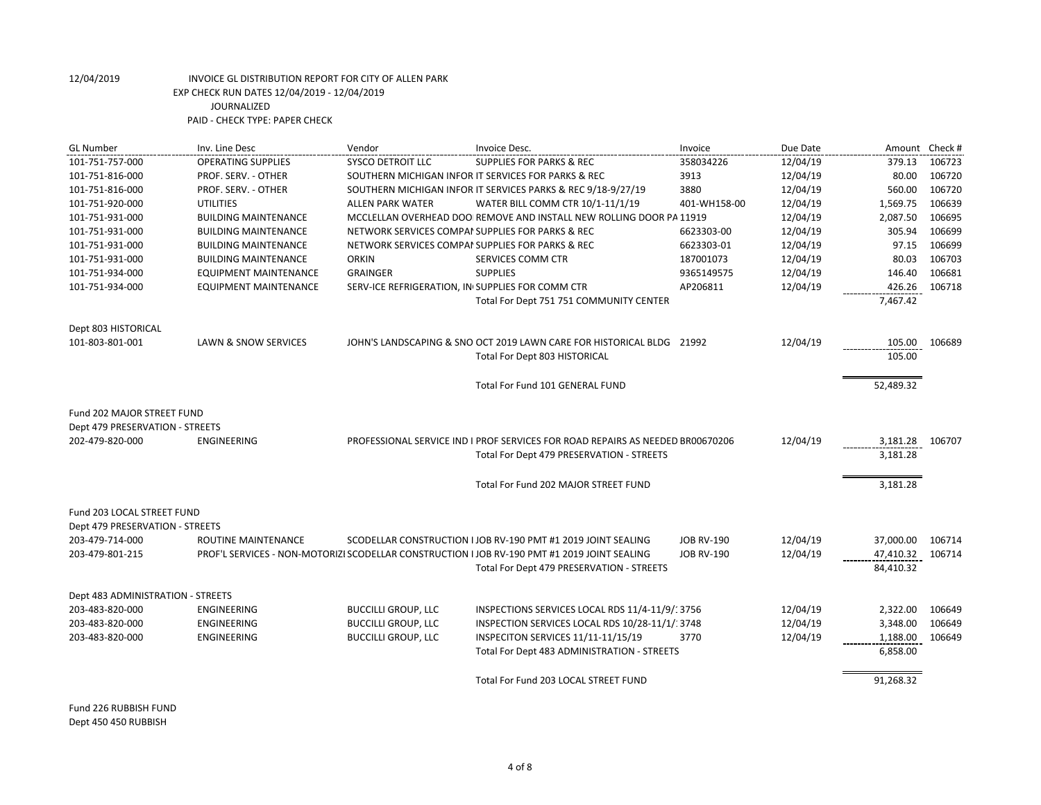| <b>GL Number</b>                                                     | Inv. Line Desc               | Vendor                                           | Invoice Desc.                                                                                                               | Invoice           | Due Date | Amount Check #       |        |
|----------------------------------------------------------------------|------------------------------|--------------------------------------------------|-----------------------------------------------------------------------------------------------------------------------------|-------------------|----------|----------------------|--------|
| 101-751-757-000                                                      | <b>OPERATING SUPPLIES</b>    | <b>SYSCO DETROIT LLC</b>                         | <b>SUPPLIES FOR PARKS &amp; REC</b>                                                                                         | 358034226         | 12/04/19 | 379.13               | 106723 |
| 101-751-816-000                                                      | PROF. SERV. - OTHER          |                                                  | SOUTHERN MICHIGAN INFOR IT SERVICES FOR PARKS & REC                                                                         | 3913              | 12/04/19 | 80.00                | 106720 |
| 101-751-816-000                                                      | PROF. SERV. - OTHER          |                                                  | SOUTHERN MICHIGAN INFOR IT SERVICES PARKS & REC 9/18-9/27/19                                                                | 3880              | 12/04/19 | 560.00               | 106720 |
| 101-751-920-000                                                      | <b>UTILITIES</b>             | <b>ALLEN PARK WATER</b>                          | WATER BILL COMM CTR 10/1-11/1/19                                                                                            | 401-WH158-00      | 12/04/19 | 1,569.75             | 106639 |
| 101-751-931-000                                                      | <b>BUILDING MAINTENANCE</b>  |                                                  | MCCLELLAN OVERHEAD DOO REMOVE AND INSTALL NEW ROLLING DOOR PA 11919                                                         |                   | 12/04/19 | 2,087.50             | 106695 |
| 101-751-931-000                                                      | <b>BUILDING MAINTENANCE</b>  | NETWORK SERVICES COMPAI SUPPLIES FOR PARKS & REC |                                                                                                                             | 6623303-00        | 12/04/19 | 305.94               | 106699 |
| 101-751-931-000                                                      | <b>BUILDING MAINTENANCE</b>  | NETWORK SERVICES COMPAI SUPPLIES FOR PARKS & REC |                                                                                                                             | 6623303-01        | 12/04/19 | 97.15                | 106699 |
| 101-751-931-000                                                      | <b>BUILDING MAINTENANCE</b>  | <b>ORKIN</b>                                     | SERVICES COMM CTR                                                                                                           | 187001073         | 12/04/19 | 80.03                | 106703 |
| 101-751-934-000                                                      | <b>EQUIPMENT MAINTENANCE</b> | <b>GRAINGER</b>                                  | <b>SUPPLIES</b>                                                                                                             | 9365149575        | 12/04/19 | 146.40               | 106681 |
| 101-751-934-000                                                      | <b>EQUIPMENT MAINTENANCE</b> | SERV-ICE REFRIGERATION, IN SUPPLIES FOR COMM CTR |                                                                                                                             | AP206811          | 12/04/19 | 426.26               | 106718 |
|                                                                      |                              |                                                  | Total For Dept 751 751 COMMUNITY CENTER                                                                                     |                   |          | 7,467.42             |        |
| Dept 803 HISTORICAL                                                  |                              |                                                  |                                                                                                                             |                   |          |                      |        |
| 101-803-801-001                                                      | LAWN & SNOW SERVICES         |                                                  | JOHN'S LANDSCAPING & SNO OCT 2019 LAWN CARE FOR HISTORICAL BLDG 21992                                                       |                   | 12/04/19 | 105.00               | 106689 |
|                                                                      |                              |                                                  | Total For Dept 803 HISTORICAL                                                                                               |                   |          | 105.00               |        |
|                                                                      |                              |                                                  | Total For Fund 101 GENERAL FUND                                                                                             |                   |          | 52,489.32            |        |
| <b>Fund 202 MAJOR STREET FUND</b><br>Dept 479 PRESERVATION - STREETS |                              |                                                  |                                                                                                                             |                   |          |                      |        |
| 202-479-820-000                                                      | <b>ENGINEERING</b>           |                                                  | PROFESSIONAL SERVICE IND I PROF SERVICES FOR ROAD REPAIRS AS NEEDED BR00670206<br>Total For Dept 479 PRESERVATION - STREETS |                   | 12/04/19 | 3,181.28<br>3,181.28 | 106707 |
|                                                                      |                              |                                                  | Total For Fund 202 MAJOR STREET FUND                                                                                        |                   |          | 3,181.28             |        |
| Fund 203 LOCAL STREET FUND                                           |                              |                                                  |                                                                                                                             |                   |          |                      |        |
| Dept 479 PRESERVATION - STREETS                                      |                              |                                                  |                                                                                                                             |                   |          |                      |        |
| 203-479-714-000                                                      | ROUTINE MAINTENANCE          |                                                  | SCODELLAR CONSTRUCTION I JOB RV-190 PMT #1 2019 JOINT SEALING                                                               | <b>JOB RV-190</b> | 12/04/19 | 37,000.00            | 106714 |
| 203-479-801-215                                                      |                              |                                                  | PROF'L SERVICES - NON-MOTORIZI SCODELLAR CONSTRUCTION I JOB RV-190 PMT #1 2019 JOINT SEALING                                | <b>JOB RV-190</b> | 12/04/19 | 47,410.32            | 106714 |
|                                                                      |                              |                                                  | Total For Dept 479 PRESERVATION - STREETS                                                                                   |                   |          | 84,410.32            |        |
| Dept 483 ADMINISTRATION - STREETS                                    |                              |                                                  |                                                                                                                             |                   |          |                      |        |
| 203-483-820-000                                                      | <b>ENGINEERING</b>           | <b>BUCCILLI GROUP, LLC</b>                       | INSPECTIONS SERVICES LOCAL RDS 11/4-11/9/13756                                                                              |                   | 12/04/19 | 2,322.00             | 106649 |
| 203-483-820-000                                                      | <b>ENGINEERING</b>           | <b>BUCCILLI GROUP, LLC</b>                       | INSPECTION SERVICES LOCAL RDS 10/28-11/1/: 3748                                                                             |                   | 12/04/19 | 3,348.00             | 106649 |
| 203-483-820-000                                                      | ENGINEERING                  | <b>BUCCILLI GROUP, LLC</b>                       | INSPECITON SERVICES 11/11-11/15/19                                                                                          | 3770              | 12/04/19 | 1,188.00             | 106649 |
|                                                                      |                              |                                                  | Total For Dept 483 ADMINISTRATION - STREETS                                                                                 |                   |          | 6,858.00             |        |
|                                                                      |                              |                                                  | Total For Fund 203 LOCAL STREET FUND                                                                                        |                   |          | 91,268.32            |        |

Fund 226 RUBBISH FUND Dept 450 450 RUBBISH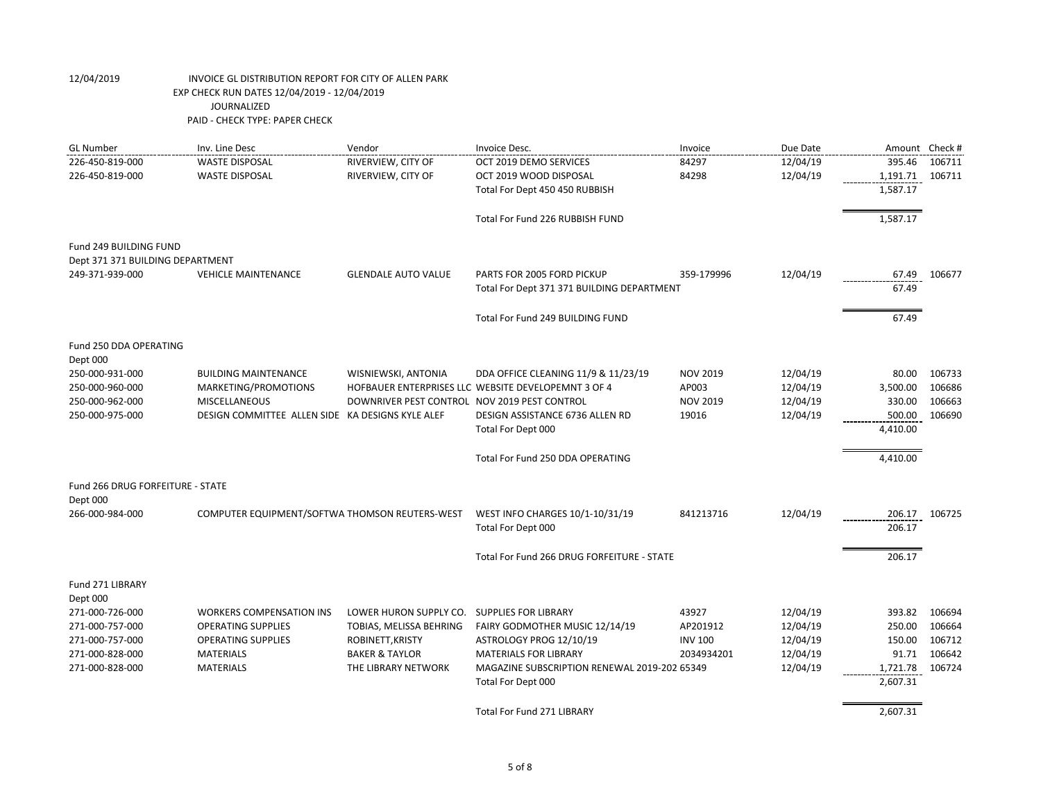| <b>GL Number</b>                 | Inv. Line Desc                                   | Vendor                                       | Invoice Desc.                                         | Invoice         | Due Date | Amount Check #     |        |
|----------------------------------|--------------------------------------------------|----------------------------------------------|-------------------------------------------------------|-----------------|----------|--------------------|--------|
| 226-450-819-000                  | <b>WASTE DISPOSAL</b>                            | RIVERVIEW, CITY OF                           | OCT 2019 DEMO SERVICES                                | 84297           | 12/04/19 | 395.46             | 106711 |
| 226-450-819-000                  | <b>WASTE DISPOSAL</b>                            | RIVERVIEW, CITY OF                           | OCT 2019 WOOD DISPOSAL                                | 84298           | 12/04/19 | 1,191.71           | 106711 |
|                                  |                                                  |                                              | Total For Dept 450 450 RUBBISH                        |                 |          | 1,587.17           |        |
|                                  |                                                  |                                              | Total For Fund 226 RUBBISH FUND                       |                 |          | 1,587.17           |        |
| Fund 249 BUILDING FUND           |                                                  |                                              |                                                       |                 |          |                    |        |
| Dept 371 371 BUILDING DEPARTMENT |                                                  |                                              |                                                       |                 |          |                    |        |
| 249-371-939-000                  | <b>VEHICLE MAINTENANCE</b>                       | <b>GLENDALE AUTO VALUE</b>                   | PARTS FOR 2005 FORD PICKUP                            | 359-179996      | 12/04/19 | 67.49              | 106677 |
|                                  |                                                  |                                              | Total For Dept 371 371 BUILDING DEPARTMENT            |                 |          | 67.49              |        |
|                                  |                                                  |                                              | Total For Fund 249 BUILDING FUND                      |                 |          | 67.49              |        |
| Fund 250 DDA OPERATING           |                                                  |                                              |                                                       |                 |          |                    |        |
| Dept 000                         |                                                  |                                              |                                                       |                 |          |                    |        |
| 250-000-931-000                  | <b>BUILDING MAINTENANCE</b>                      | WISNIEWSKI, ANTONIA                          | DDA OFFICE CLEANING 11/9 & 11/23/19                   | <b>NOV 2019</b> | 12/04/19 | 80.00              | 106733 |
| 250-000-960-000                  | MARKETING/PROMOTIONS                             |                                              | HOFBAUER ENTERPRISES LLC WEBSITE DEVELOPEMNT 3 OF 4   | AP003           | 12/04/19 | 3,500.00           | 106686 |
| 250-000-962-000                  | <b>MISCELLANEOUS</b>                             | DOWNRIVER PEST CONTROL NOV 2019 PEST CONTROL |                                                       | <b>NOV 2019</b> | 12/04/19 | 330.00             | 106663 |
| 250-000-975-000                  | DESIGN COMMITTEE ALLEN SIDE KA DESIGNS KYLE ALEF |                                              | DESIGN ASSISTANCE 6736 ALLEN RD<br>Total For Dept 000 | 19016           | 12/04/19 | 500.00<br>4,410.00 | 106690 |
|                                  |                                                  |                                              |                                                       |                 |          |                    |        |
|                                  |                                                  |                                              | Total For Fund 250 DDA OPERATING                      |                 |          | 4,410.00           |        |
| Fund 266 DRUG FORFEITURE - STATE |                                                  |                                              |                                                       |                 |          |                    |        |
| Dept 000                         |                                                  |                                              |                                                       |                 |          |                    |        |
| 266-000-984-000                  | COMPUTER EQUIPMENT/SOFTWA THOMSON REUTERS-WEST   |                                              | WEST INFO CHARGES 10/1-10/31/19                       | 841213716       | 12/04/19 | 206.17             | 106725 |
|                                  |                                                  |                                              | Total For Dept 000                                    |                 |          | 206.17             |        |
|                                  |                                                  |                                              | Total For Fund 266 DRUG FORFEITURE - STATE            |                 |          | 206.17             |        |
| Fund 271 LIBRARY                 |                                                  |                                              |                                                       |                 |          |                    |        |
| Dept 000                         |                                                  |                                              |                                                       |                 |          |                    |        |
| 271-000-726-000                  | <b>WORKERS COMPENSATION INS</b>                  | LOWER HURON SUPPLY CO. SUPPLIES FOR LIBRARY  |                                                       | 43927           | 12/04/19 | 393.82             | 106694 |
| 271-000-757-000                  | <b>OPERATING SUPPLIES</b>                        | TOBIAS, MELISSA BEHRING                      | FAIRY GODMOTHER MUSIC 12/14/19                        | AP201912        | 12/04/19 | 250.00             | 106664 |
| 271-000-757-000                  | <b>OPERATING SUPPLIES</b>                        | ROBINETT, KRISTY                             | ASTROLOGY PROG 12/10/19                               | <b>INV 100</b>  | 12/04/19 | 150.00             | 106712 |
| 271-000-828-000                  | <b>MATERIALS</b>                                 | <b>BAKER &amp; TAYLOR</b>                    | <b>MATERIALS FOR LIBRARY</b>                          | 2034934201      | 12/04/19 | 91.71              | 106642 |
| 271-000-828-000                  | <b>MATERIALS</b>                                 | THE LIBRARY NETWORK                          | MAGAZINE SUBSCRIPTION RENEWAL 2019-202 65349          |                 | 12/04/19 | 1,721.78           | 106724 |
|                                  |                                                  |                                              | Total For Dept 000                                    |                 |          | 2,607.31           |        |
|                                  |                                                  |                                              | <b>Total For Fund 271 LIBRARY</b>                     |                 |          | 2,607.31           |        |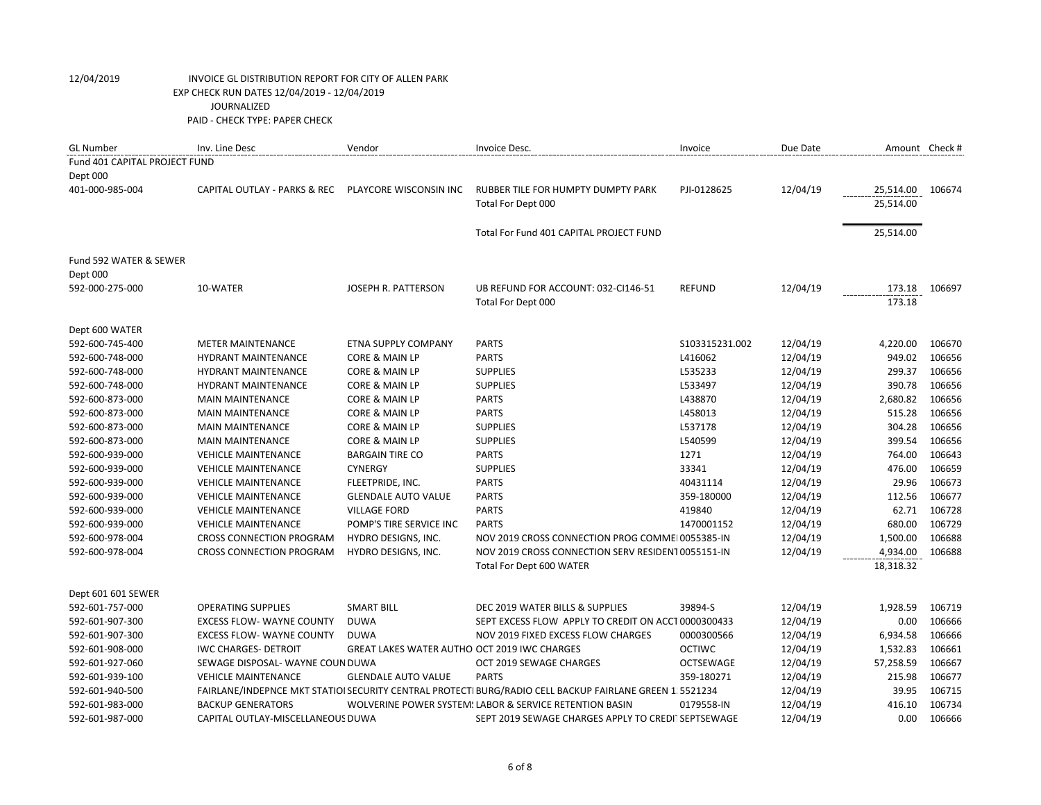| <b>GL Number</b>              | Inv. Line Desc                    | Vendor                                              | Invoice Desc.                                                                                            | Invoice          | Due Date | Amount Check # |        |
|-------------------------------|-----------------------------------|-----------------------------------------------------|----------------------------------------------------------------------------------------------------------|------------------|----------|----------------|--------|
| Fund 401 CAPITAL PROJECT FUND |                                   |                                                     |                                                                                                          |                  |          |                |        |
| Dept 000                      |                                   |                                                     |                                                                                                          |                  |          |                |        |
| 401-000-985-004               | CAPITAL OUTLAY - PARKS & REC      | PLAYCORE WISCONSIN INC                              | RUBBER TILE FOR HUMPTY DUMPTY PARK                                                                       | PJI-0128625      | 12/04/19 | 25,514.00      | 106674 |
|                               |                                   |                                                     | Total For Dept 000                                                                                       |                  |          | 25,514.00      |        |
|                               |                                   |                                                     |                                                                                                          |                  |          |                |        |
|                               |                                   |                                                     | Total For Fund 401 CAPITAL PROJECT FUND                                                                  |                  |          | 25,514.00      |        |
|                               |                                   |                                                     |                                                                                                          |                  |          |                |        |
| Fund 592 WATER & SEWER        |                                   |                                                     |                                                                                                          |                  |          |                |        |
| Dept 000                      |                                   |                                                     |                                                                                                          |                  |          |                |        |
| 592-000-275-000               | 10-WATER                          | JOSEPH R. PATTERSON                                 | UB REFUND FOR ACCOUNT: 032-CI146-51                                                                      | <b>REFUND</b>    | 12/04/19 | 173.18         | 106697 |
|                               |                                   |                                                     | Total For Dept 000                                                                                       |                  |          | 173.18         |        |
|                               |                                   |                                                     |                                                                                                          |                  |          |                |        |
| Dept 600 WATER                |                                   |                                                     |                                                                                                          |                  |          |                |        |
| 592-600-745-400               | <b>METER MAINTENANCE</b>          | ETNA SUPPLY COMPANY                                 | <b>PARTS</b>                                                                                             | S103315231.002   | 12/04/19 | 4,220.00       | 106670 |
| 592-600-748-000               | <b>HYDRANT MAINTENANCE</b>        | <b>CORE &amp; MAIN LP</b>                           | <b>PARTS</b>                                                                                             | L416062          | 12/04/19 | 949.02         | 106656 |
| 592-600-748-000               | <b>HYDRANT MAINTENANCE</b>        | CORE & MAIN LP                                      | <b>SUPPLIES</b>                                                                                          | L535233          | 12/04/19 | 299.37         | 106656 |
| 592-600-748-000               | <b>HYDRANT MAINTENANCE</b>        | CORE & MAIN LP                                      | <b>SUPPLIES</b>                                                                                          | L533497          | 12/04/19 | 390.78         | 106656 |
| 592-600-873-000               | <b>MAIN MAINTENANCE</b>           | CORE & MAIN LP                                      | <b>PARTS</b>                                                                                             | L438870          | 12/04/19 | 2,680.82       | 106656 |
| 592-600-873-000               | <b>MAIN MAINTENANCE</b>           | CORE & MAIN LP                                      | <b>PARTS</b>                                                                                             | L458013          | 12/04/19 | 515.28         | 106656 |
| 592-600-873-000               | <b>MAIN MAINTENANCE</b>           | CORE & MAIN LP                                      | <b>SUPPLIES</b>                                                                                          | L537178          | 12/04/19 | 304.28         | 106656 |
| 592-600-873-000               | <b>MAIN MAINTENANCE</b>           | CORE & MAIN LP                                      | <b>SUPPLIES</b>                                                                                          | L540599          | 12/04/19 | 399.54         | 106656 |
| 592-600-939-000               | <b>VEHICLE MAINTENANCE</b>        | <b>BARGAIN TIRE CO</b>                              | <b>PARTS</b>                                                                                             | 1271             | 12/04/19 | 764.00         | 106643 |
| 592-600-939-000               | <b>VEHICLE MAINTENANCE</b>        | <b>CYNERGY</b>                                      | <b>SUPPLIES</b>                                                                                          | 33341            | 12/04/19 | 476.00         | 106659 |
| 592-600-939-000               | <b>VEHICLE MAINTENANCE</b>        | FLEETPRIDE, INC.                                    | <b>PARTS</b>                                                                                             | 40431114         | 12/04/19 | 29.96          | 106673 |
| 592-600-939-000               | <b>VEHICLE MAINTENANCE</b>        | <b>GLENDALE AUTO VALUE</b>                          | <b>PARTS</b>                                                                                             | 359-180000       | 12/04/19 | 112.56         | 106677 |
| 592-600-939-000               | <b>VEHICLE MAINTENANCE</b>        | <b>VILLAGE FORD</b>                                 | <b>PARTS</b>                                                                                             | 419840           | 12/04/19 | 62.71          | 106728 |
| 592-600-939-000               | <b>VEHICLE MAINTENANCE</b>        | POMP'S TIRE SERVICE INC                             | <b>PARTS</b>                                                                                             | 1470001152       | 12/04/19 | 680.00         | 106729 |
| 592-600-978-004               | <b>CROSS CONNECTION PROGRAM</b>   | HYDRO DESIGNS, INC.                                 | NOV 2019 CROSS CONNECTION PROG COMMEI 0055385-IN                                                         |                  | 12/04/19 | 1,500.00       | 106688 |
| 592-600-978-004               | <b>CROSS CONNECTION PROGRAM</b>   | HYDRO DESIGNS, INC.                                 | NOV 2019 CROSS CONNECTION SERV RESIDENT 0055151-IN                                                       |                  | 12/04/19 | 4,934.00       | 106688 |
|                               |                                   |                                                     | Total For Dept 600 WATER                                                                                 |                  |          | 18,318.32      |        |
|                               |                                   |                                                     |                                                                                                          |                  |          |                |        |
| Dept 601 601 SEWER            |                                   |                                                     |                                                                                                          |                  |          |                |        |
| 592-601-757-000               | <b>OPERATING SUPPLIES</b>         | <b>SMART BILL</b>                                   | DEC 2019 WATER BILLS & SUPPLIES                                                                          | 39894-S          | 12/04/19 | 1,928.59       | 106719 |
| 592-601-907-300               | <b>EXCESS FLOW- WAYNE COUNTY</b>  | <b>DUWA</b>                                         | SEPT EXCESS FLOW APPLY TO CREDIT ON ACCT 0000300433                                                      |                  | 12/04/19 | 0.00           | 106666 |
| 592-601-907-300               | <b>EXCESS FLOW- WAYNE COUNTY</b>  | <b>DUWA</b>                                         | NOV 2019 FIXED EXCESS FLOW CHARGES                                                                       | 0000300566       | 12/04/19 | 6,934.58       | 106666 |
| 592-601-908-000               | <b>IWC CHARGES- DETROIT</b>       | <b>GREAT LAKES WATER AUTHO OCT 2019 IWC CHARGES</b> |                                                                                                          | <b>OCTIWC</b>    | 12/04/19 | 1,532.83       | 106661 |
| 592-601-927-060               | SEWAGE DISPOSAL- WAYNE COUN DUWA  |                                                     | OCT 2019 SEWAGE CHARGES                                                                                  | <b>OCTSEWAGE</b> | 12/04/19 | 57,258.59      | 106667 |
| 592-601-939-100               | <b>VEHICLE MAINTENANCE</b>        | <b>GLENDALE AUTO VALUE</b>                          | <b>PARTS</b>                                                                                             | 359-180271       | 12/04/19 | 215.98         | 106677 |
| 592-601-940-500               |                                   |                                                     | FAIRLANE/INDEPNCE MKT STATIOI SECURITY CENTRAL PROTECTI BURG/RADIO CELL BACKUP FAIRLANE GREEN 1. 5521234 |                  | 12/04/19 | 39.95          | 106715 |
| 592-601-983-000               | <b>BACKUP GENERATORS</b>          |                                                     | WOLVERINE POWER SYSTEM: LABOR & SERVICE RETENTION BASIN                                                  | 0179558-IN       | 12/04/19 | 416.10         | 106734 |
| 592-601-987-000               | CAPITAL OUTLAY-MISCELLANEOUS DUWA |                                                     | SEPT 2019 SEWAGE CHARGES APPLY TO CREDIT SEPTSEWAGE                                                      |                  | 12/04/19 | 0.00           | 106666 |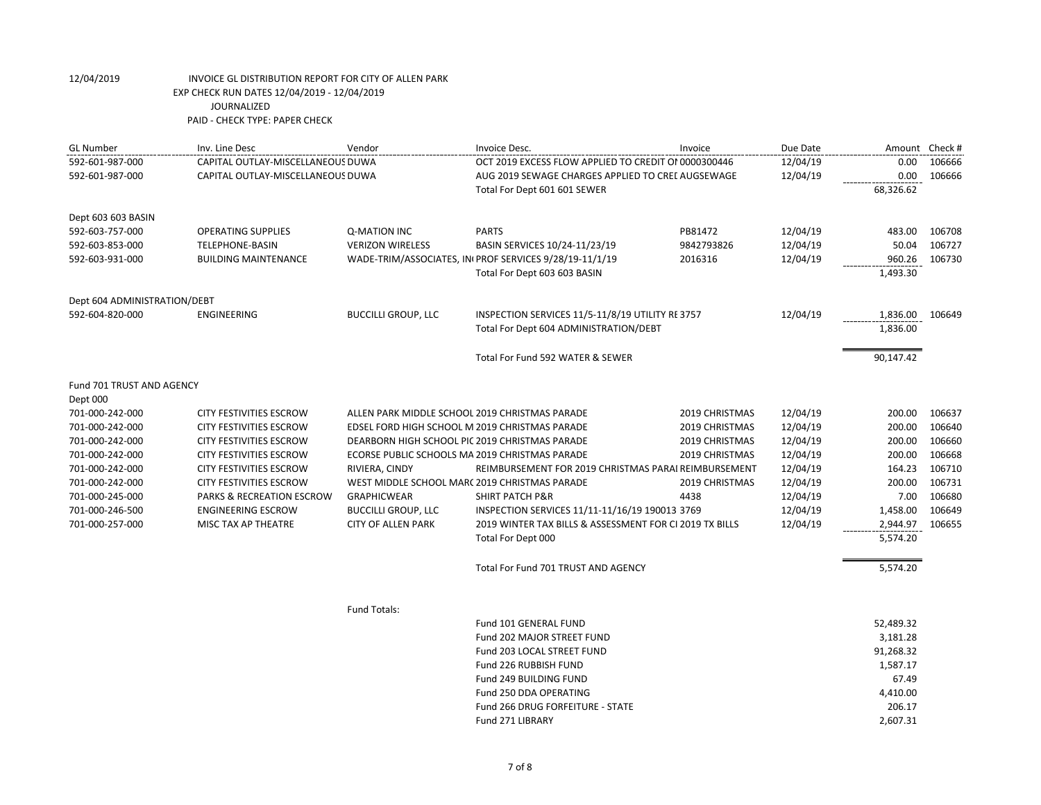| <b>GL Number</b>                               | Inv. Line Desc                                         | Vendor                                                              | Invoice Desc.                                           | Invoice        | Due Date             | Amount Check # |                  |
|------------------------------------------------|--------------------------------------------------------|---------------------------------------------------------------------|---------------------------------------------------------|----------------|----------------------|----------------|------------------|
| 592-601-987-000                                | CAPITAL OUTLAY-MISCELLANEOUS DUWA                      |                                                                     | OCT 2019 EXCESS FLOW APPLIED TO CREDIT OI 0000300446    |                | 12/04/19             | 0.00           | 106666           |
| 592-601-987-000                                | CAPITAL OUTLAY-MISCELLANEOUS DUWA                      |                                                                     | AUG 2019 SEWAGE CHARGES APPLIED TO CREL AUGSEWAGE       |                | 12/04/19             | 0.00           | 106666           |
|                                                |                                                        |                                                                     | Total For Dept 601 601 SEWER                            |                |                      | 68,326.62      |                  |
| Dept 603 603 BASIN                             |                                                        |                                                                     |                                                         |                |                      |                |                  |
| 592-603-757-000                                | <b>OPERATING SUPPLIES</b>                              | Q-MATION INC                                                        | <b>PARTS</b>                                            | PB81472        | 12/04/19             | 483.00         | 106708           |
| 592-603-853-000                                | TELEPHONE-BASIN                                        | <b>VERIZON WIRELESS</b>                                             | BASIN SERVICES 10/24-11/23/19                           | 9842793826     | 12/04/19             | 50.04          | 106727           |
| 592-603-931-000<br><b>BUILDING MAINTENANCE</b> |                                                        |                                                                     | WADE-TRIM/ASSOCIATES, INI PROF SERVICES 9/28/19-11/1/19 | 2016316        | 12/04/19             | 960.26         | 106730           |
|                                                |                                                        |                                                                     | Total For Dept 603 603 BASIN                            |                |                      | 1,493.30       |                  |
| Dept 604 ADMINISTRATION/DEBT                   |                                                        |                                                                     |                                                         |                |                      |                |                  |
| 592-604-820-000                                | ENGINEERING                                            | <b>BUCCILLI GROUP, LLC</b>                                          | INSPECTION SERVICES 11/5-11/8/19 UTILITY RE 3757        |                | 12/04/19             | 1,836.00       | 106649           |
|                                                |                                                        |                                                                     | Total For Dept 604 ADMINISTRATION/DEBT                  |                |                      | 1,836.00       |                  |
|                                                |                                                        |                                                                     | Total For Fund 592 WATER & SEWER                        |                |                      | 90,147.42      |                  |
| Fund 701 TRUST AND AGENCY                      |                                                        |                                                                     |                                                         |                |                      |                |                  |
| Dept 000                                       |                                                        |                                                                     |                                                         |                |                      |                |                  |
| 701-000-242-000                                | <b>CITY FESTIVITIES ESCROW</b>                         | ALLEN PARK MIDDLE SCHOOL 2019 CHRISTMAS PARADE                      |                                                         | 2019 CHRISTMAS | 12/04/19             | 200.00         | 106637           |
| 701-000-242-000                                | <b>CITY FESTIVITIES ESCROW</b>                         | EDSEL FORD HIGH SCHOOL M 2019 CHRISTMAS PARADE                      |                                                         | 2019 CHRISTMAS | 12/04/19             | 200.00         | 106640           |
| 701-000-242-000                                | <b>CITY FESTIVITIES ESCROW</b>                         | DEARBORN HIGH SCHOOL PIC 2019 CHRISTMAS PARADE                      |                                                         | 2019 CHRISTMAS | 12/04/19             | 200.00         | 106660           |
| 701-000-242-000                                | CITY FESTIVITIES ESCROW                                | ECORSE PUBLIC SCHOOLS MA 2019 CHRISTMAS PARADE                      |                                                         | 2019 CHRISTMAS | 12/04/19             | 200.00         | 106668           |
| 701-000-242-000                                | <b>CITY FESTIVITIES ESCROW</b>                         | RIVIERA, CINDY                                                      | REIMBURSEMENT FOR 2019 CHRISTMAS PARAI REIMBURSEMENT    |                | 12/04/19             | 164.23         | 106710           |
| 701-000-242-000                                | <b>CITY FESTIVITIES ESCROW</b>                         | WEST MIDDLE SCHOOL MARC 2019 CHRISTMAS PARADE<br><b>GRAPHICWEAR</b> | <b>SHIRT PATCH P&amp;R</b>                              | 2019 CHRISTMAS | 12/04/19             | 200.00<br>7.00 | 106731<br>106680 |
| 701-000-245-000<br>701-000-246-500             | PARKS & RECREATION ESCROW<br><b>ENGINEERING ESCROW</b> | <b>BUCCILLI GROUP, LLC</b>                                          | INSPECTION SERVICES 11/11-11/16/19 190013 3769          | 4438           | 12/04/19<br>12/04/19 | 1,458.00       | 106649           |
| 701-000-257-000                                | MISC TAX AP THEATRE                                    | <b>CITY OF ALLEN PARK</b>                                           | 2019 WINTER TAX BILLS & ASSESSMENT FOR CI 2019 TX BILLS |                | 12/04/19             | 2,944.97       | 106655           |
|                                                |                                                        |                                                                     | Total For Dept 000                                      |                |                      | 5,574.20       |                  |
|                                                |                                                        |                                                                     |                                                         |                |                      |                |                  |
|                                                |                                                        |                                                                     | Total For Fund 701 TRUST AND AGENCY                     |                |                      | 5,574.20       |                  |
|                                                |                                                        | <b>Fund Totals:</b>                                                 |                                                         |                |                      |                |                  |
|                                                |                                                        |                                                                     | Fund 101 GENERAL FUND                                   |                |                      | 52,489.32      |                  |
|                                                |                                                        |                                                                     | Fund 202 MAJOR STREET FUND                              |                |                      | 3,181.28       |                  |
|                                                |                                                        |                                                                     | Fund 203 LOCAL STREET FUND                              |                |                      | 91,268.32      |                  |
|                                                |                                                        |                                                                     | Fund 226 RUBBISH FUND                                   |                |                      | 1,587.17       |                  |
|                                                |                                                        |                                                                     | Fund 249 BUILDING FUND                                  |                |                      | 67.49          |                  |
|                                                |                                                        |                                                                     | Fund 250 DDA OPERATING                                  |                |                      | 4,410.00       |                  |
|                                                |                                                        |                                                                     | Fund 266 DRUG FORFEITURE - STATE                        |                |                      | 206.17         |                  |

Fund 271 LIBRARY 2,607.31